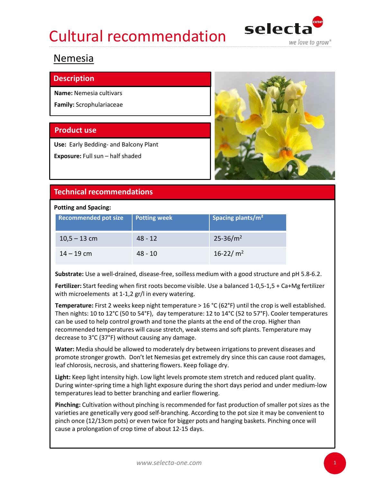## Cultural recommendation selecta



### **Nemesia**

### **Description**

Name: Nemesia cultivars

Family: Scrophulariaceae



### Potting and Spacing:

| Use: Early Bedding- and Balcony Plant               |                     |                                                                                                                                                                                                                                                                                                                                                                                                              |  |
|-----------------------------------------------------|---------------------|--------------------------------------------------------------------------------------------------------------------------------------------------------------------------------------------------------------------------------------------------------------------------------------------------------------------------------------------------------------------------------------------------------------|--|
| Exposure: Full sun - half shaded                    |                     |                                                                                                                                                                                                                                                                                                                                                                                                              |  |
| <b>Technical recommendations</b>                    |                     |                                                                                                                                                                                                                                                                                                                                                                                                              |  |
| <b>Potting and Spacing:</b>                         |                     |                                                                                                                                                                                                                                                                                                                                                                                                              |  |
| <b>Recommended pot size</b>                         | <b>Potting week</b> | Spacing plants/m <sup>2</sup>                                                                                                                                                                                                                                                                                                                                                                                |  |
| $10,5 - 13$ cm                                      | $48 - 12$           | $25 - 36/m^2$                                                                                                                                                                                                                                                                                                                                                                                                |  |
| $14 - 19$ cm                                        | $48 - 10$           | 16-22/ $m2$                                                                                                                                                                                                                                                                                                                                                                                                  |  |
|                                                     |                     | Substrate: Use a well-drained, disease-free, soilless medium with a good structure and pH 5.8-6.2.                                                                                                                                                                                                                                                                                                           |  |
| with microelements at 1-1,2 gr/l in every watering. |                     | Fertilizer: Start feeding when first roots become visible. Use a balanced 1-0,5-1,5 + Ca+Mg fertilizer                                                                                                                                                                                                                                                                                                       |  |
|                                                     |                     | <b>Temperature:</b> First 2 weeks keep night temperature > 16 °C (62°F) until the crop is well established.<br>Then nights: 10 to 12°C (50 to 54°F), day temperature: 12 to 14°C (52 to 57°F). Cooler temperatures<br>can be used to help control growth and tone the plants at the end of the crop. Higher than<br>recommended temperatures will cause stretch, weak stems and soft plants. Temperature may |  |

**Temperature:** First 2 weeks keep night temperature  $> 16$  °C (62°F) until the crop is well established. Then nights: 10 to 12°C (50 to 54°F), day temperature: 12 to 14°C (52 to 57°F). Cooler temperatures can be used to help control growth and tone the plants at the end of the crop. Higher than recommended temperatures will cause stretch, weak stems and soft plants. Temperature may decrease to 3°C (37°F) without causing any damage.

Water: Media should be allowed to moderately dry between irrigations to prevent diseases and promote stronger growth. Don't let Nemesias get extremely dry since this can cause root damages, leaf chlorosis, necrosis, and shattering flowers. Keep foliage dry.

Light: Keep light intensity high. Low light levels promote stem stretch and reduced plant quality. During winter-spring time a high light exposure during the short days period and under medium-low temperatures lead to better branching and earlier flowering.

Pinching: Cultivation without pinching is recommended for fast production of smaller pot sizes as the varieties are genetically very good self-branching. According to the pot size it may be convenient to pinch once (12/13cm pots) or even twice for bigger pots and hanging baskets. Pinching once will cause a prolongation of crop time of about 12-15 days.

**1999**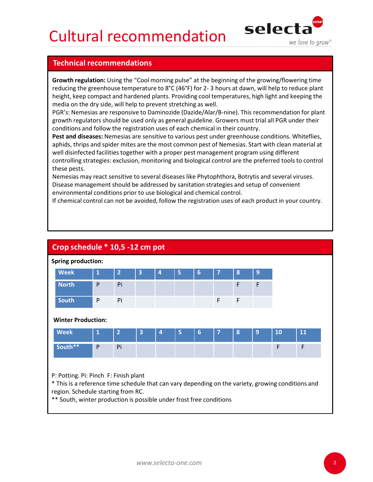## Cultural recommendation selecta



**Cultural recommendations**<br> **Technical recommendations**<br> **Selescity**<br> **Selescity**<br> **Selescity**<br> **Selescity**<br> **Selescity**<br> **Selescity**<br> **Selescity**<br> **Selescity**<br> **Selescity**<br> **Selescity**<br> **Selescity**<br> **Selescity**<br> **Selescit** Growth regulation: Using the "Cool morning pulse" at the beginning of the growing/flowering time **Cultural recommendations**<br>**Fechnical recommendations**<br>**Growth regulation:** Using the "Cool morning pulse" at the beginning of the growing/flowering time<br>reducing the greenhouse temperature to 8°C (46°F) for 2-3 hours at d height, keep compact and hardened plants. Providing cool temperatures, high light and keeping the media on the dry side, will help to prevent stretching as well.

PGR's: Nemesias are responsive to Daminozide (Dazide/Alar/B-nine). This recommendation for plant growth regulators should be used only as general guideline. Growers must trial all PGR under their conditions and follow the registration uses of each chemical in their country.

| growth regulators should be used only as general guideline. Growers must trial all PGR under their<br>conditions and follow the registration uses of each chemical in their country.<br>Pest and diseases: Nemesias are sensitive to various pest under greenhouse conditions. Whiteflies,<br>aphids, thrips and spider mites are the most common pest of Nemesias. Start with clean material at<br>well disinfected facilities together with a proper pest management program using different<br>controlling strategies: exclusion, monitoring and biological control are the preferred tools to control<br>these pests.<br>Nemesias may react sensitive to several diseases like Phytophthora, Botrytis and several viruses.<br>Disease management should be addressed by sanitation strategies and setup of convenient<br>environmental conditions prior to use biological and chemical control.<br>If chemical control can not be avoided, follow the registration uses of each product in your country. |              |                |                         |   |   |   |   |                  |   |    |    |
|--------------------------------------------------------------------------------------------------------------------------------------------------------------------------------------------------------------------------------------------------------------------------------------------------------------------------------------------------------------------------------------------------------------------------------------------------------------------------------------------------------------------------------------------------------------------------------------------------------------------------------------------------------------------------------------------------------------------------------------------------------------------------------------------------------------------------------------------------------------------------------------------------------------------------------------------------------------------------------------------------------------|--------------|----------------|-------------------------|---|---|---|---|------------------|---|----|----|
| Crop schedule * 10,5 -12 cm pot                                                                                                                                                                                                                                                                                                                                                                                                                                                                                                                                                                                                                                                                                                                                                                                                                                                                                                                                                                              |              |                |                         |   |   |   |   |                  |   |    |    |
| <b>Spring production:</b>                                                                                                                                                                                                                                                                                                                                                                                                                                                                                                                                                                                                                                                                                                                                                                                                                                                                                                                                                                                    |              |                |                         |   |   |   |   |                  |   |    |    |
| <b>Week</b>                                                                                                                                                                                                                                                                                                                                                                                                                                                                                                                                                                                                                                                                                                                                                                                                                                                                                                                                                                                                  | $\mathbf 1$  | $\overline{2}$ | $\overline{\mathbf{3}}$ | 4 | 5 | 6 | 7 | $\boldsymbol{8}$ | 9 |    |    |
| <b>North</b>                                                                                                                                                                                                                                                                                                                                                                                                                                                                                                                                                                                                                                                                                                                                                                                                                                                                                                                                                                                                 | P            | Pi             |                         |   |   |   |   | F                | F |    |    |
| <b>South</b>                                                                                                                                                                                                                                                                                                                                                                                                                                                                                                                                                                                                                                                                                                                                                                                                                                                                                                                                                                                                 | P            | Pi             |                         |   |   |   | F | F                |   |    |    |
| <b>Winter Production:</b>                                                                                                                                                                                                                                                                                                                                                                                                                                                                                                                                                                                                                                                                                                                                                                                                                                                                                                                                                                                    |              |                |                         |   |   |   |   |                  |   |    |    |
| <b>Week</b>                                                                                                                                                                                                                                                                                                                                                                                                                                                                                                                                                                                                                                                                                                                                                                                                                                                                                                                                                                                                  | $\mathbf{1}$ | $\overline{2}$ | 3                       | 4 | 5 | 6 | 7 | 8                | 9 | 10 | 11 |
| South**                                                                                                                                                                                                                                                                                                                                                                                                                                                                                                                                                                                                                                                                                                                                                                                                                                                                                                                                                                                                      | P            | Pi             |                         |   |   |   |   |                  |   | F  | F  |
|                                                                                                                                                                                                                                                                                                                                                                                                                                                                                                                                                                                                                                                                                                                                                                                                                                                                                                                                                                                                              |              |                |                         |   |   |   |   |                  |   |    |    |
| P: Potting. Pi: Pinch F: Finish plant<br>* This is a reference time schedule that can vary depending on the variety, growing conditions and<br>region. Schedule starting from RC.<br>** South, winter production is possible under frost free conditions                                                                                                                                                                                                                                                                                                                                                                                                                                                                                                                                                                                                                                                                                                                                                     |              |                |                         |   |   |   |   |                  |   |    |    |